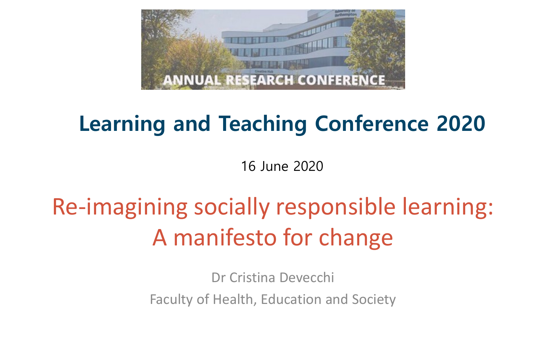

# **Learning and Teaching Conference 2020**

16 June 2020

# Re-imagining socially responsible learning: A manifesto for change

Dr Cristina Devecchi Faculty of Health, Education and Society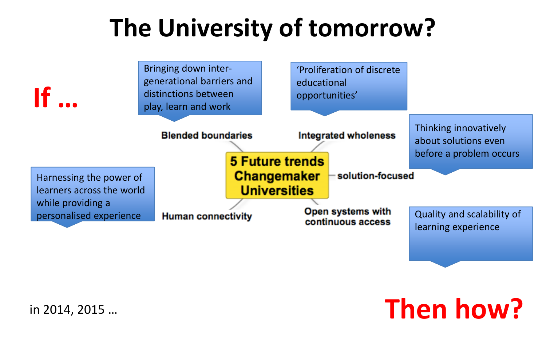# **The University of tomorrow?**



**Then how?**

#### in 2014, 2015 …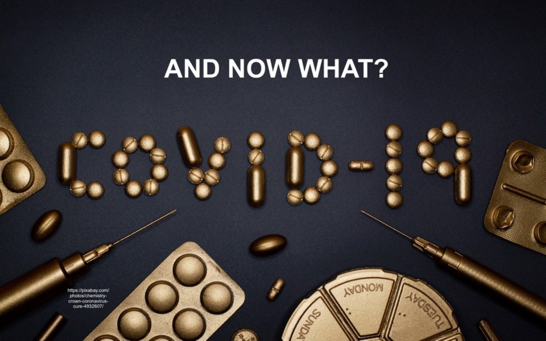# **AND NOW WHAT?**

MONOW

https://pixabay.com/<br>photos/chemistry-<br>crown-coronavirus-<br>cure-4932607/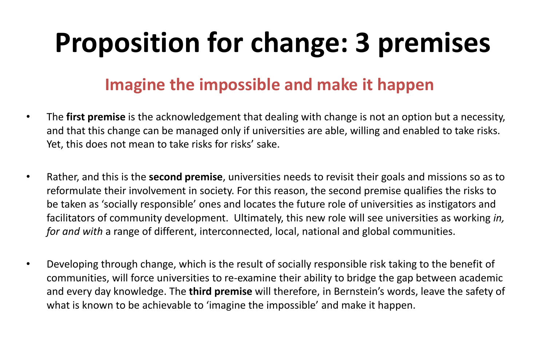# **Proposition for change: 3 premises**

#### **Imagine the impossible and make it happen**

- The **first premise** is the acknowledgement that dealing with change is not an option but a necessity, and that this change can be managed only if universities are able, willing and enabled to take risks. Yet, this does not mean to take risks for risks' sake.
- Rather, and this is the **second premise**, universities needs to revisit their goals and missions so as to reformulate their involvement in society. For this reason, the second premise qualifies the risks to be taken as 'socially responsible' ones and locates the future role of universities as instigators and facilitators of community development. Ultimately, this new role will see universities as working *in, for and with* a range of different, interconnected, local, national and global communities.
- Developing through change, which is the result of socially responsible risk taking to the benefit of communities, will force universities to re-examine their ability to bridge the gap between academic and every day knowledge. The **third premise** will therefore, in Bernstein's words, leave the safety of what is known to be achievable to 'imagine the impossible' and make it happen.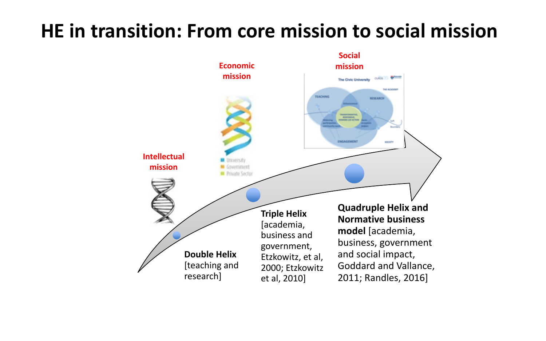### **HE in transition: From core mission to social mission**

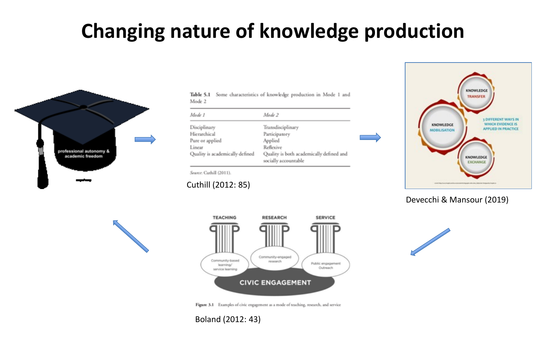## **Changing nature of knowledge production**



|        | Table 5.1 Some characteristics of knowledge production in Mode 1 and |  |  |  |  |
|--------|----------------------------------------------------------------------|--|--|--|--|
| Mode 2 |                                                                      |  |  |  |  |

| Mode 1                          | Mode 2                                                           |  |  |  |  |
|---------------------------------|------------------------------------------------------------------|--|--|--|--|
| Disciplinary                    | Transdisciplinary                                                |  |  |  |  |
| Hierarchical                    | Participatory                                                    |  |  |  |  |
| Pure or applied                 | Applied                                                          |  |  |  |  |
| Linear                          | Reflexive                                                        |  |  |  |  |
| Quality is academically defined | Quality is both academically defined and<br>socially accountable |  |  |  |  |



Devecchi & Mansour (2019)





Figure 3.1 Examples of civic engagement as a mode of teaching, research, and service

#### Boland (2012: 43)

Cuthill (2012: 85)

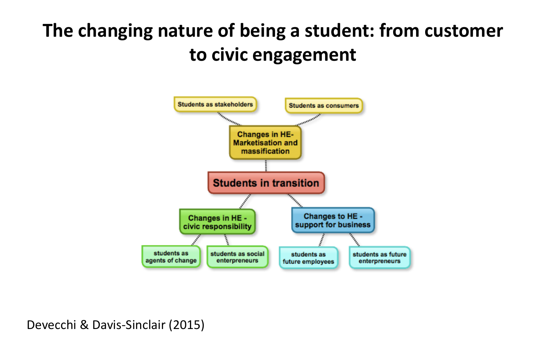## **The changing nature of being a student: from customer to civic engagement**



Devecchi & Davis-Sinclair (2015)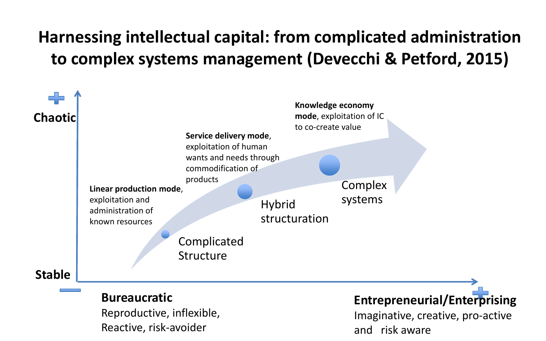#### **Harnessing intellectual capital: from complicated administration to complex systems management (Devecchi & Petford, 2015)**



Reproductive, inflexible, Reactive, risk-avoider

Imaginative, creative, pro-active and risk aware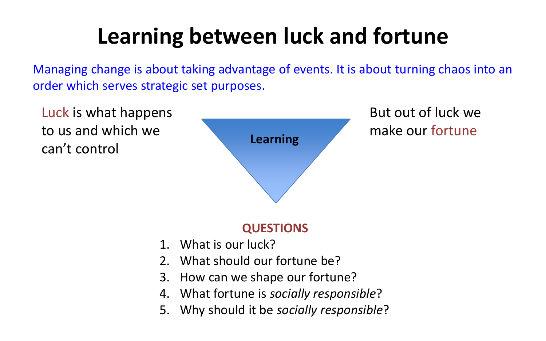# **Learning between luck and fortune**

Managing change is about taking advantage of events. It is about turning chaos into an order which serves strategic set purposes.

Luck is what happens to us and which we can't control



But out of luck we make our fortune

#### **QUESTIONS**

- 1. What is our luck?
- 2. What should our fortune be?
- 3. How can we shape our fortune?
- 4. What fortune is *socially responsible*?
- 5. Why should it be *socially responsible*?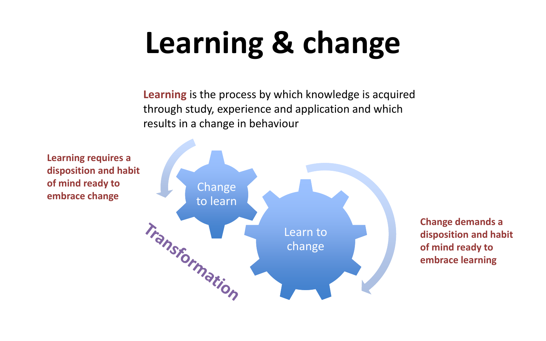# **Learning & change**

**Learning** is the process by which knowledge is acquired through study, experience and application and which results in a change in behaviour



**Change demands a disposition and habit of mind ready to embrace learning**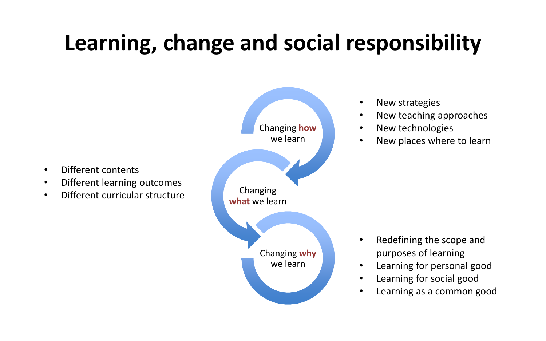# **Learning, change and social responsibility**



• Different contents

- New strategies
- New teaching approaches
- New technologies
- New places where to learn

- Redefining the scope and purposes of learning
- Learning for personal good
- Learning for social good
- Learning as a common good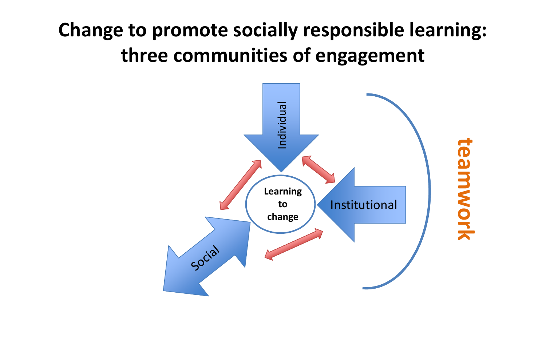## **Change to promote socially responsible learning: three communities of engagement**

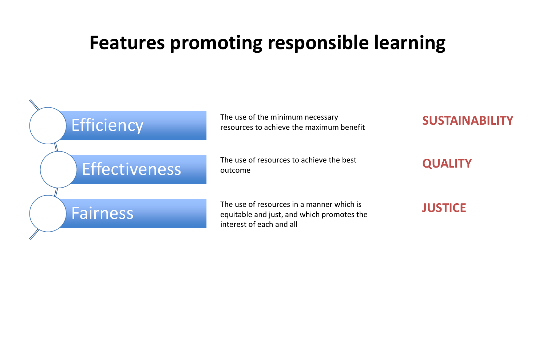#### **Features promoting responsible learning**

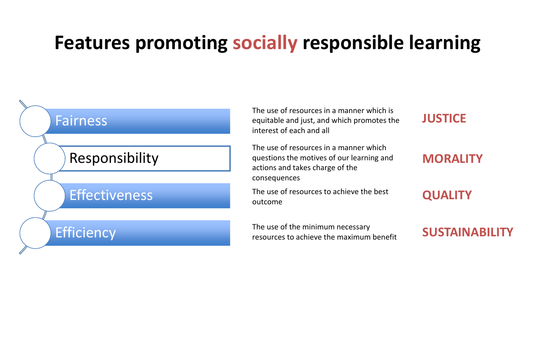### **Features promoting socially responsible learning**



The use of resources in a manner which is equitable and just, and which promotes the interest of each and all

The use of resources in a manner which questions the motives of our learning and actions and takes charge of the consequences

The use of resources to achieve the best outcome

resources to achieve the maximum benefit **SUSTAINABILITY** 



#### **MORALITY**

**QUALITY**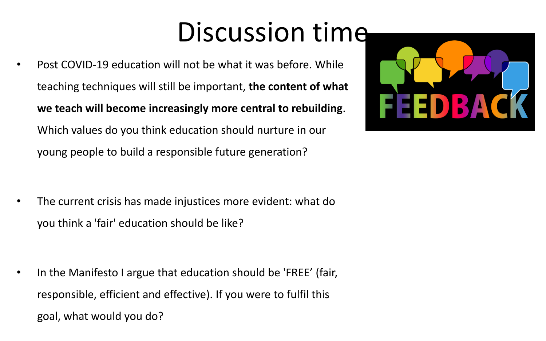# Discussion time

• Post COVID-19 education will not be what it was before. While teaching techniques will still be important, **the content of what we teach will become increasingly more central to rebuilding**. Which values do you think education should nurture in our young people to build a responsible future generation?

• The current crisis has made injustices more evident: what do you think a 'fair' education should be like?

• In the Manifesto I argue that education should be 'FREE' (fair, responsible, efficient and effective). If you were to fulfil this goal, what would you do?

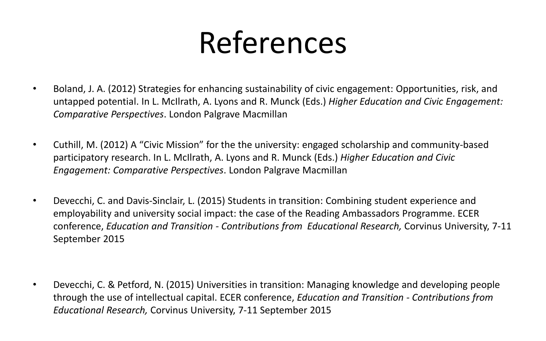# References

- Boland, J. A. (2012) Strategies for enhancing sustainability of civic engagement: Opportunities, risk, and untapped potential. In L. McIlrath, A. Lyons and R. Munck (Eds.) *Higher Education and Civic Engagement: Comparative Perspectives*. London Palgrave Macmillan
- Cuthill, M. (2012) A "Civic Mission" for the the university: engaged scholarship and community-based participatory research. In L. McIlrath, A. Lyons and R. Munck (Eds.) *Higher Education and Civic Engagement: Comparative Perspectives*. London Palgrave Macmillan
- Devecchi, C. and Davis-Sinclair, L. (2015) Students in transition: Combining student experience and employability and university social impact: the case of the Reading Ambassadors Programme. ECER conference, *Education and Transition - Contributions from Educational Research,* Corvinus University, 7-11 September 2015

• Devecchi, C. & Petford, N. (2015) Universities in transition: Managing knowledge and developing people through the use of intellectual capital. ECER conference, *Education and Transition - Contributions from Educational Research,* Corvinus University, 7-11 September 2015